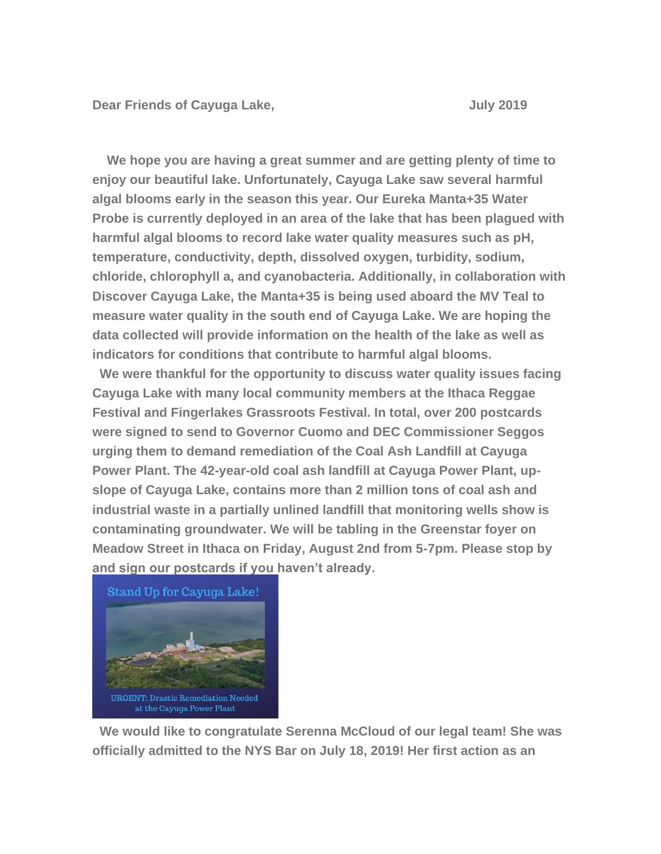**Dear Friends of Cayuga Lake, July 2019**

**We hope you are having a great summer and are getting plenty of time to enjoy our beautiful lake. Unfortunately, Cayuga Lake saw several harmful algal blooms early in the season this year. Our Eureka Manta+35 Water Probe is currently deployed in an area of the lake that has been plagued with harmful algal blooms to record lake water quality measures such as pH, temperature, conductivity, depth, dissolved oxygen, turbidity, sodium, chloride, chlorophyll a, and cyanobacteria. Additionally, in collaboration with Discover Cayuga Lake, the Manta+35 is being used aboard the MV Teal to measure water quality in the south end of Cayuga Lake. We are hoping the data collected will provide information on the health of the lake as well as indicators for conditions that contribute to harmful algal blooms.**

**We were thankful for the opportunity to discuss water quality issues facing Cayuga Lake with many local community members at the Ithaca Reggae Festival and Fingerlakes Grassroots Festival. In total, over 200 postcards were signed to send to Governor Cuomo and DEC Commissioner Seggos urging them to demand remediation of the Coal Ash Landfill at Cayuga Power Plant. The 42-year-old coal ash landfill at Cayuga Power Plant, upslope of Cayuga Lake, contains more than 2 million tons of coal ash and industrial waste in a partially unlined landfill that monitoring wells show is contaminating groundwater. We will be tabling in the Greenstar foyer on Meadow Street in Ithaca on Friday, August 2nd from 5-7pm. Please stop by and sign our postcards if you haven't already.** 



**We would like to congratulate Serenna McCloud of our legal team! She was officially admitted to the NYS Bar on July 18, 2019! Her first action as an**